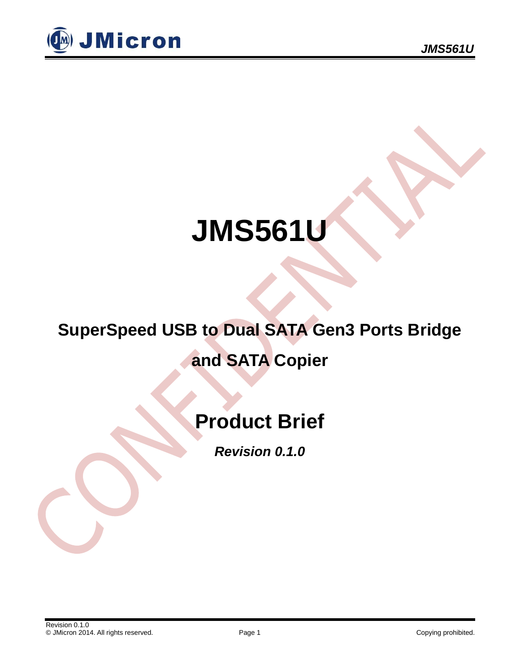

## **JMS561U**

# **SuperSpeed USB to Dual SATA Gen3 Ports Bridge**

### **and SATA Copier**

## **Product Brief**

*Revision 0.1.0*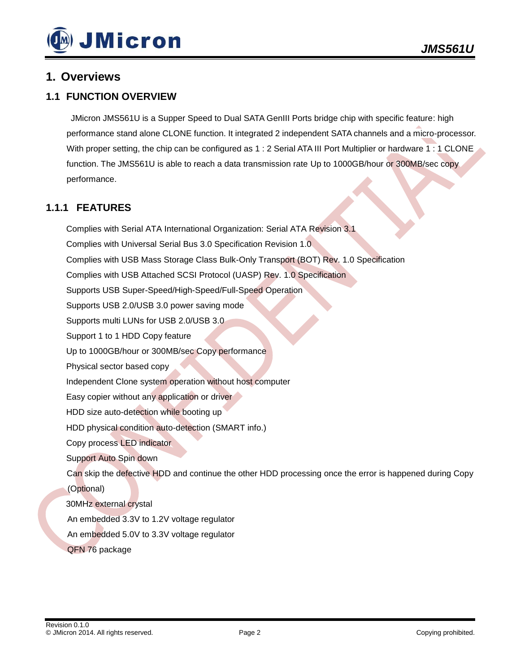

#### **1. Overviews**

#### **1.1 FUNCTION OVERVIEW**

JMicron JMS561U is a Supper Speed to Dual SATA GenIII Ports bridge chip with specific feature: high performance stand alone CLONE function. It integrated 2 independent SATA channels and a micro-processor. With proper setting, the chip can be configured as 1 : 2 Serial ATA III Port Multiplier or hardware 1 : 1 CLONE function. The JMS561U is able to reach a data transmission rate Up to 1000GB/hour or 300MB/sec copy performance.

#### **1.1.1 FEATURES**

Complies with Serial ATA International Organization: Serial ATA Revision 3.1 Complies with Universal Serial Bus 3.0 Specification Revision 1.0 Complies with USB Mass Storage Class Bulk-Only Transport (BOT) Rev. 1.0 Specification Complies with USB Attached SCSI Protocol (UASP) Rev. 1.0 Specification Supports USB Super-Speed/High-Speed/Full-Speed Operation Supports USB 2.0/USB 3.0 power saving mode Supports multi LUNs for USB 2.0/USB 3.0 Support 1 to 1 HDD Copy feature Up to 1000GB/hour or 300MB/sec Copy performance Physical sector based copy Independent Clone system operation without host computer Easy copier without any application or driver HDD size auto-detection while booting up HDD physical condition auto-detection (SMART info.) Copy process LED indicator Support Auto Spin down Can skip the defective HDD and continue the other HDD processing once the error is happened during Copy (Optional) 30MHz external crystal An embedded 3.3V to 1.2V voltage regulator An embedded 5.0V to 3.3V voltage regulator QFN 76 package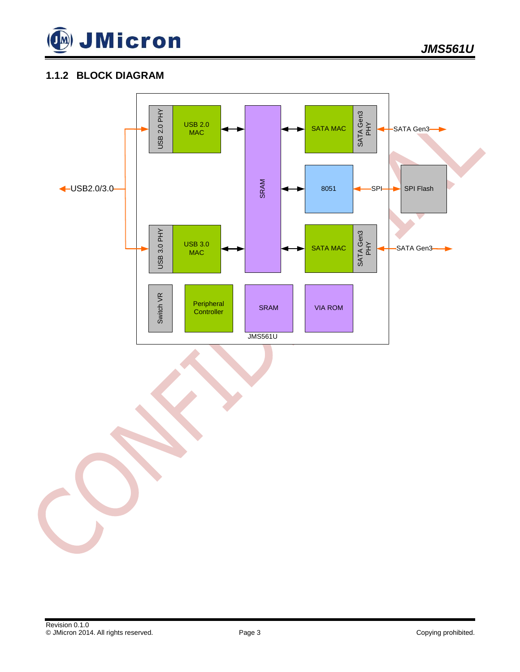

#### **1.1.2 BLOCK DIAGRAM**

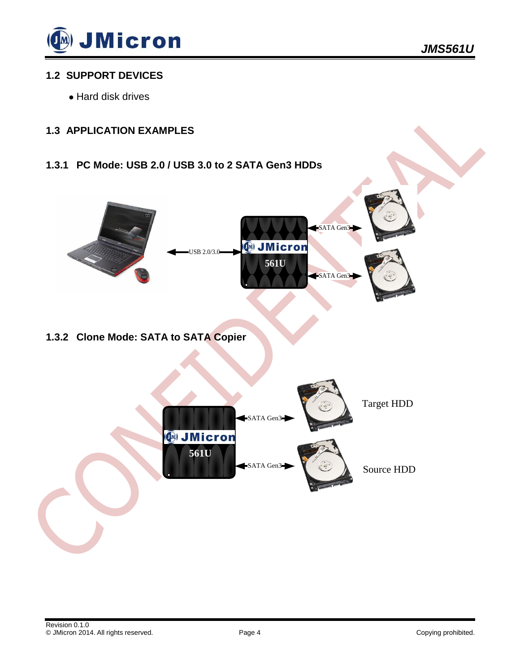

#### **1.2 SUPPORT DEVICES**

Hard disk drives

#### **1.3 APPLICATION EXAMPLES**

**1.3.1 PC Mode: USB 2.0 / USB 3.0 to 2 SATA Gen3 HDDs**